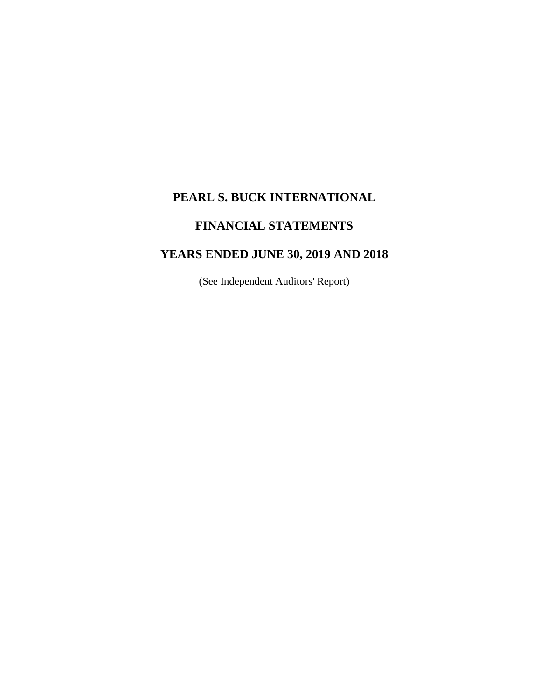# **FINANCIAL STATEMENTS**

# **YEARS ENDED JUNE 30, 2019 AND 2018**

(See Independent Auditors' Report)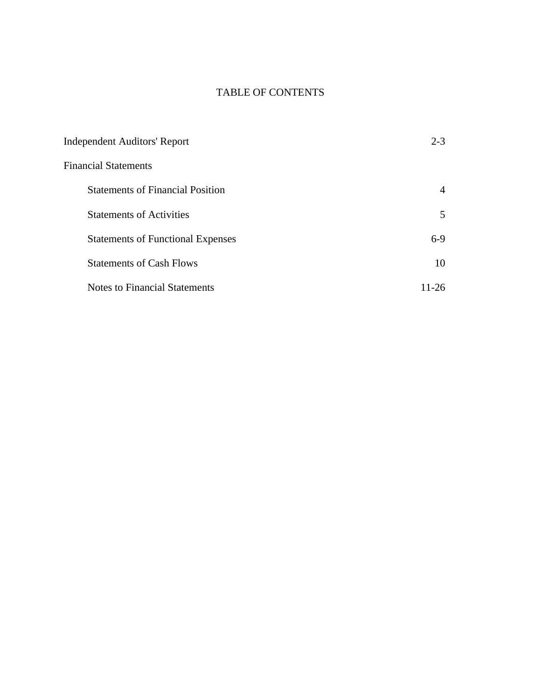## TABLE OF CONTENTS

| <b>Independent Auditors' Report</b>      | $2 - 3$        |
|------------------------------------------|----------------|
| <b>Financial Statements</b>              |                |
| <b>Statements of Financial Position</b>  | $\overline{A}$ |
| <b>Statements of Activities</b>          | 5              |
| <b>Statements of Functional Expenses</b> | $6-9$          |
| <b>Statements of Cash Flows</b>          | 10             |
| <b>Notes to Financial Statements</b>     | 11-26          |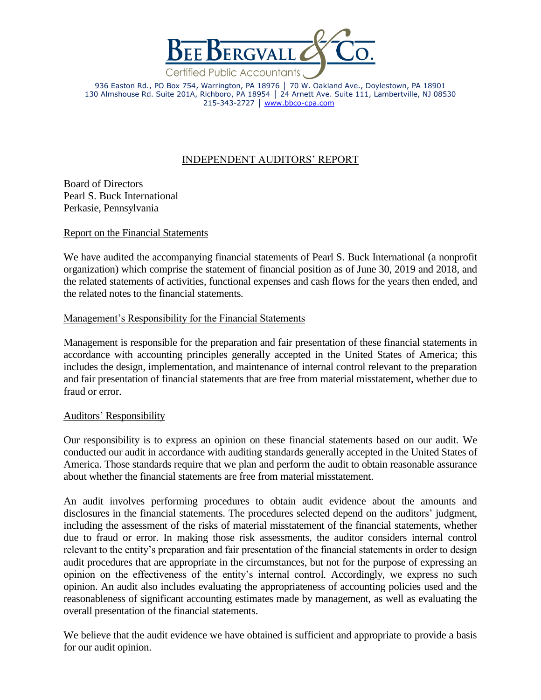

936 Easton Rd., PO Box 754, Warrington, PA 18976 │ 70 W. Oakland Ave., Doylestown, PA 18901 130 Almshouse Rd. Suite 201A, Richboro, PA 18954 | 24 Arnett Ave. Suite 111, Lambertville, NJ 08530 215-343-2727 | [www.bbco-cpa.com](http://www.bbco-cpa.com/)

## INDEPENDENT AUDITORS' REPORT

Board of Directors Pearl S. Buck International Perkasie, Pennsylvania

### Report on the Financial Statements

We have audited the accompanying financial statements of Pearl S. Buck International (a nonprofit organization) which comprise the statement of financial position as of June 30, 2019 and 2018, and the related statements of activities, functional expenses and cash flows for the years then ended, and the related notes to the financial statements.

## Management's Responsibility for the Financial Statements

Management is responsible for the preparation and fair presentation of these financial statements in accordance with accounting principles generally accepted in the United States of America; this includes the design, implementation, and maintenance of internal control relevant to the preparation and fair presentation of financial statements that are free from material misstatement, whether due to fraud or error.

#### Auditors' Responsibility

Our responsibility is to express an opinion on these financial statements based on our audit. We conducted our audit in accordance with auditing standards generally accepted in the United States of America. Those standards require that we plan and perform the audit to obtain reasonable assurance about whether the financial statements are free from material misstatement.

An audit involves performing procedures to obtain audit evidence about the amounts and disclosures in the financial statements. The procedures selected depend on the auditors' judgment, including the assessment of the risks of material misstatement of the financial statements, whether due to fraud or error. In making those risk assessments, the auditor considers internal control relevant to the entity's preparation and fair presentation of the financial statements in order to design audit procedures that are appropriate in the circumstances, but not for the purpose of expressing an opinion on the effectiveness of the entity's internal control. Accordingly, we express no such opinion. An audit also includes evaluating the appropriateness of accounting policies used and the reasonableness of significant accounting estimates made by management, as well as evaluating the overall presentation of the financial statements.

We believe that the audit evidence we have obtained is sufficient and appropriate to provide a basis for our audit opinion.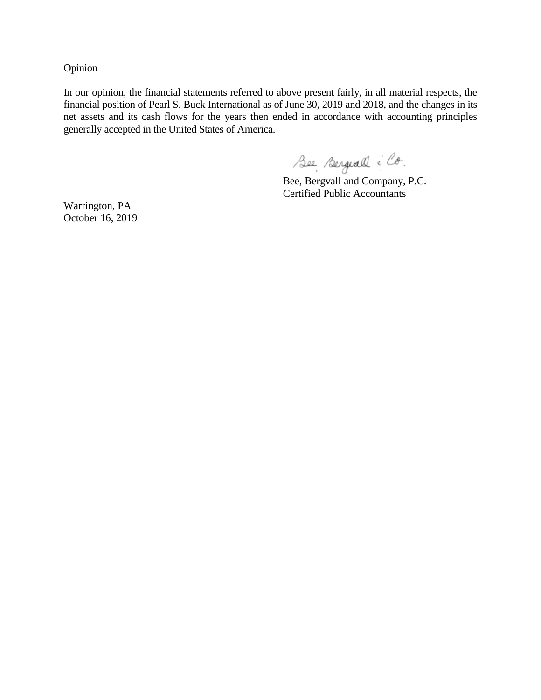**Opinion** 

In our opinion, the financial statements referred to above present fairly, in all material respects, the financial position of Pearl S. Buck International as of June 30, 2019 and 2018, and the changes in its net assets and its cash flows for the years then ended in accordance with accounting principles generally accepted in the United States of America.

Bee Bergerald i Co.

Bee, Bergvall and Company, P.C. Certified Public Accountants

Warrington, PA October 16, 2019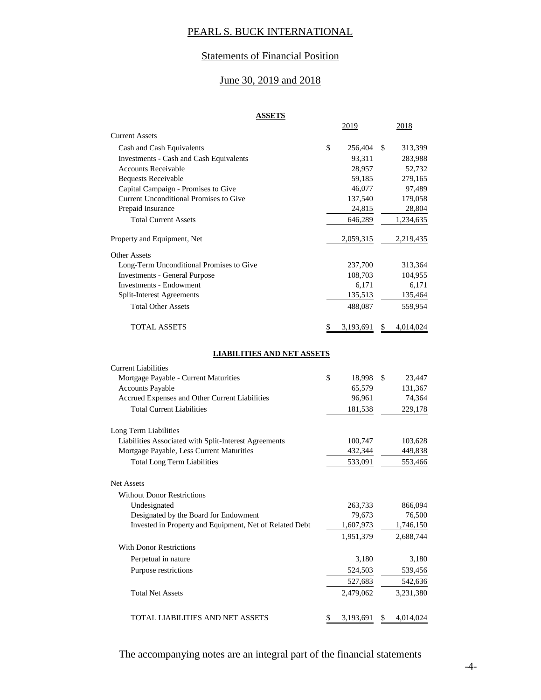# Statements of Financial Position

## June 30, 2019 and 2018

#### **ASSETS**

|                                                         | 2019            | 2018            |
|---------------------------------------------------------|-----------------|-----------------|
| <b>Current Assets</b>                                   |                 |                 |
| Cash and Cash Equivalents                               | \$<br>256,404   | \$<br>313,399   |
| Investments - Cash and Cash Equivalents                 | 93,311          | 283,988         |
| <b>Accounts Receivable</b>                              | 28,957          | 52,732          |
| <b>Bequests Receivable</b>                              | 59,185          | 279,165         |
| Capital Campaign - Promises to Give                     | 46,077          | 97,489          |
| Current Unconditional Promises to Give                  | 137,540         | 179,058         |
| Prepaid Insurance                                       | 24,815          | 28,804          |
| <b>Total Current Assets</b>                             | 646,289         | 1,234,635       |
| Property and Equipment, Net                             | 2,059,315       | 2,219,435       |
| <b>Other Assets</b>                                     |                 |                 |
| Long-Term Unconditional Promises to Give                | 237,700         | 313,364         |
| <b>Investments - General Purpose</b>                    | 108,703         | 104,955         |
| Investments - Endowment                                 | 6,171           | 6,171           |
| Split-Interest Agreements                               | 135,513         | 135,464         |
| <b>Total Other Assets</b>                               | 488,087         | 559,954         |
| TOTAL ASSETS                                            | \$<br>3,193,691 | \$<br>4,014,024 |
| <b>LIABILITIES AND NET ASSETS</b>                       |                 |                 |
| <b>Current Liabilities</b>                              |                 |                 |
| Mortgage Payable - Current Maturities                   | \$<br>18,998    | \$<br>23,447    |
| <b>Accounts Payable</b>                                 | 65,579          | 131,367         |
| Accrued Expenses and Other Current Liabilities          | 96,961          | 74,364          |
| <b>Total Current Liabilities</b>                        | 181,538         | 229,178         |
| Long Term Liabilities                                   |                 |                 |
| Liabilities Associated with Split-Interest Agreements   | 100,747         | 103,628         |
| Mortgage Payable, Less Current Maturities               | 432,344         | 449,838         |
| <b>Total Long Term Liabilities</b>                      | 533,091         | 553,466         |
| <b>Net Assets</b>                                       |                 |                 |
| <b>Without Donor Restrictions</b>                       |                 |                 |
| Undesignated                                            | 263,733         | 866,094         |
| Designated by the Board for Endowment                   | 79,673          | 76,500          |
| Invested in Property and Equipment, Net of Related Debt | 1,607,973       | 1,746,150       |
|                                                         | 1,951,379       | 2,688,744       |
| <b>With Donor Restrictions</b>                          |                 |                 |
| Perpetual in nature                                     | 3,180           | 3,180           |
| Purpose restrictions                                    | 524,503         | 539,456         |
|                                                         | 527,683         | 542,636         |
| <b>Total Net Assets</b>                                 | 2,479,062       | 3,231,380       |
|                                                         |                 |                 |
| TOTAL LIABILITIES AND NET ASSETS                        | \$<br>3,193,691 | \$<br>4,014,024 |

The accompanying notes are an integral part of the financial statements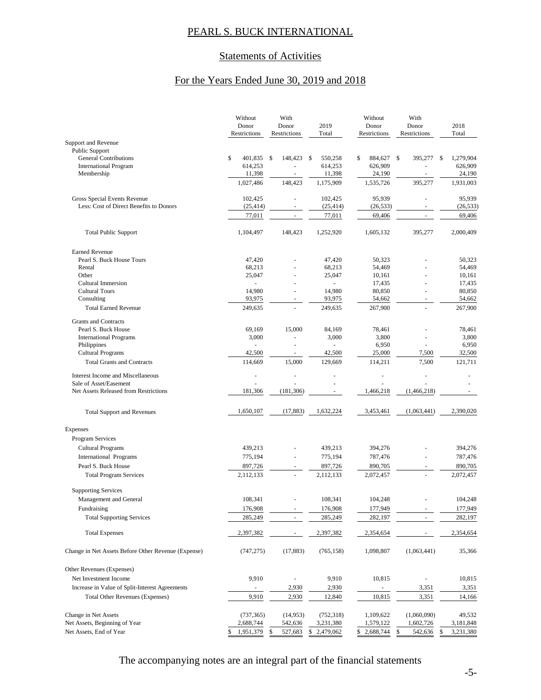## **Statements of Activities**

## For the Years Ended June 30, 2019 and 2018

|                                                             | Without<br>Donor<br>Restrictions | With<br>Donor<br>Restrictions | 2019<br>Total            | Without<br>Donor<br>Restrictions | With<br>Donor<br>Restrictions | 2018<br>Total            |
|-------------------------------------------------------------|----------------------------------|-------------------------------|--------------------------|----------------------------------|-------------------------------|--------------------------|
| Support and Revenue<br><b>Public Support</b>                |                                  |                               |                          |                                  |                               |                          |
| <b>General Contributions</b>                                | \$<br>401,835                    | \$<br>148,423                 | \$<br>550,258            | \$<br>884,627                    | \$<br>395,277                 | \$<br>1,279,904          |
| <b>International Program</b>                                | 614,253                          |                               | 614,253                  | 626,909                          | ä,                            | 626,909                  |
| Membership                                                  | 11,398                           | $\blacksquare$                | 11,398                   | 24,190                           | $\overline{\phantom{a}}$      | 24,190                   |
|                                                             | 1,027,486                        | 148,423                       | 1,175,909                | 1,535,726                        | 395,277                       | 1,931,003                |
| Gross Special Events Revenue                                | 102,425                          |                               | 102,425                  | 95,939                           |                               | 95,939                   |
| Less: Cost of Direct Benefits to Donors                     | (25, 414)                        |                               | (25, 414)                | (26, 533)                        |                               | (26, 533)                |
|                                                             | 77,011                           | ÷,                            | 77,011                   | 69,406                           | ä,                            | 69,406                   |
| <b>Total Public Support</b>                                 | 1,104,497                        | 148,423                       | 1,252,920                | 1,605,132                        | 395,277                       | 2,000,409                |
| <b>Earned Revenue</b>                                       |                                  |                               |                          |                                  |                               |                          |
| Pearl S. Buck House Tours                                   | 47,420                           |                               | 47,420                   | 50,323                           |                               | 50,323                   |
| Rental<br>Other                                             | 68,213                           |                               | 68,213                   | 54,469                           |                               | 54,469                   |
| <b>Cultural Immersion</b>                                   | 25,047<br>ä,                     |                               | 25,047<br>÷.             | 10,161<br>17,435                 |                               | 10,161<br>17,435         |
| <b>Cultural Tours</b>                                       | 14,980                           | ä,                            | 14,980                   | 80,850                           | ÷,                            | 80,850                   |
| Consulting                                                  | 93,975                           |                               | 93,975                   | 54,662                           |                               | 54,662                   |
| <b>Total Earned Revenue</b>                                 | 249,635                          |                               | 249,635                  | 267,900                          |                               | 267,900                  |
| <b>Grants and Contracts</b><br>Pearl S. Buck House          | 69,169                           | 15,000                        | 84,169                   | 78,461                           |                               | 78,461                   |
| <b>International Programs</b>                               | 3,000                            | ä,                            | 3,000                    | 3,800                            | Ĭ.                            | 3,800                    |
| Philippines                                                 |                                  |                               | ÷.                       | 6,950                            |                               | 6,950                    |
| <b>Cultural Programs</b>                                    | 42,500                           | L,                            | 42,500                   | 25,000                           | 7,500                         | 32,500                   |
| <b>Total Grants and Contracts</b>                           | 114,669                          | 15,000                        | 129,669                  | 114,211                          | 7,500                         | 121,711                  |
| Interest Income and Miscellaneous<br>Sale of Asset/Easement | ÷                                | ÷,                            | ÷,<br>ä,                 | ä,                               | L,                            |                          |
| Net Assets Released from Restrictions                       | 181,306                          | (181, 306)                    | $\overline{\phantom{a}}$ | 1,466,218                        | (1,466,218)                   | $\overline{\phantom{a}}$ |
| <b>Total Support and Revenues</b>                           | 1,650,107                        | (17, 883)                     | 1,632,224                | 3,453,461                        | (1,063,441)                   | 2,390,020                |
| Expenses                                                    |                                  |                               |                          |                                  |                               |                          |
| Program Services                                            |                                  |                               |                          |                                  |                               |                          |
| <b>Cultural Programs</b>                                    | 439,213                          |                               | 439,213                  | 394,276                          |                               | 394,276                  |
| <b>International Programs</b>                               | 775,194                          |                               | 775,194                  | 787,476                          |                               | 787,476                  |
| Pearl S. Buck House                                         | 897,726                          |                               | 897,726                  | 890,705                          |                               | 890,705                  |
| <b>Total Program Services</b>                               | 2,112,133                        |                               | 2,112,133                | 2,072,457                        |                               | 2,072,457                |
| <b>Supporting Services</b>                                  |                                  |                               |                          |                                  |                               |                          |
| Management and General                                      | 108,341                          |                               | 108,341                  | 104,248                          |                               | 104,248                  |
| Fundraising                                                 | 176,908                          |                               | 176,908                  | 177,949                          |                               | 177,949                  |
| <b>Total Supporting Services</b>                            | 285,249                          | ÷,                            | 285,249                  | 282,197                          |                               | 282,197                  |
| <b>Total Expenses</b>                                       | 2,397,382                        |                               | 2,397,382                | 2,354,654                        |                               | 2,354,654                |
| Change in Net Assets Before Other Revenue (Expense)         | (747, 275)                       | (17, 883)                     | (765, 158)               | 1,098,807                        | (1,063,441)                   | 35,366                   |
| Other Revenues (Expenses)                                   |                                  |                               |                          |                                  |                               |                          |
| Net Investment Income                                       | 9,910                            | $\qquad \qquad \blacksquare$  | 9,910                    | 10,815                           | $\overline{\phantom{a}}$      | 10,815                   |
| Increase in Value of Split-Interest Agreements              | $\overline{\phantom{a}}$         | 2,930                         | 2,930                    |                                  | 3,351                         | 3,351                    |
| <b>Total Other Revenues (Expenses)</b>                      | 9,910                            | 2,930                         | 12,840                   | 10,815                           | 3,351                         | 14,166                   |
| Change in Net Assets                                        | (737, 365)                       | (14, 953)                     | (752, 318)               | 1,109,622                        | (1,060,090)                   | 49,532                   |
| Net Assets, Beginning of Year                               | 2,688,744                        | 542,636                       | 3,231,380                | 1,579,122                        | 1,602,726                     | 3,181,848                |
| Net Assets, End of Year                                     | 1,951,379                        | 527,683<br>S                  | 2,479,062<br>S           | 2,688,744                        | \$<br>542,636                 | 3,231,380<br>\$          |

The accompanying notes are an integral part of the financial statements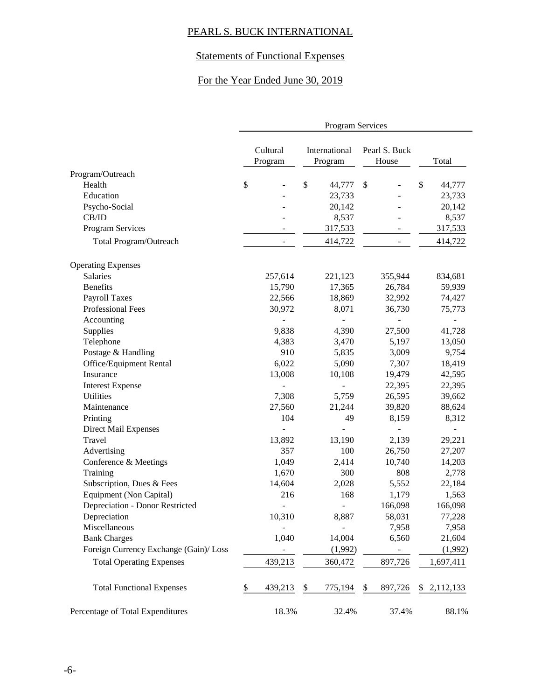# Statements of Functional Expenses

## For the Year Ended June 30, 2019

|                                        | <b>Program Services</b> |                     |    |                          |    |                        |    |           |
|----------------------------------------|-------------------------|---------------------|----|--------------------------|----|------------------------|----|-----------|
|                                        |                         | Cultural<br>Program |    | International<br>Program |    | Pearl S. Buck<br>House |    | Total     |
| Program/Outreach                       |                         |                     |    |                          |    |                        |    |           |
| Health                                 | \$                      |                     | \$ | 44,777                   | \$ |                        | \$ | 44,777    |
| Education                              |                         |                     |    | 23,733                   |    |                        |    | 23,733    |
| Psycho-Social                          |                         |                     |    | 20,142                   |    |                        |    | 20,142    |
| CB/ID                                  |                         |                     |    | 8,537                    |    |                        |    | 8,537     |
| Program Services                       |                         |                     |    | 317,533                  |    |                        |    | 317,533   |
| Total Program/Outreach                 |                         |                     |    | 414,722                  |    |                        |    | 414,722   |
| <b>Operating Expenses</b>              |                         |                     |    |                          |    |                        |    |           |
| <b>Salaries</b>                        |                         | 257,614             |    | 221,123                  |    | 355,944                |    | 834,681   |
| <b>Benefits</b>                        |                         | 15,790              |    | 17,365                   |    | 26,784                 |    | 59,939    |
| Payroll Taxes                          |                         | 22,566              |    | 18,869                   |    | 32,992                 |    | 74,427    |
| Professional Fees                      |                         | 30,972              |    | 8,071                    |    | 36,730                 |    | 75,773    |
| Accounting                             |                         |                     |    |                          |    |                        |    |           |
| Supplies                               |                         | 9,838               |    | 4,390                    |    | 27,500                 |    | 41,728    |
| Telephone                              |                         | 4,383               |    | 3,470                    |    | 5,197                  |    | 13,050    |
| Postage & Handling                     |                         | 910                 |    | 5,835                    |    | 3,009                  |    | 9,754     |
| Office/Equipment Rental                |                         | 6,022               |    | 5,090                    |    | 7,307                  |    | 18,419    |
| Insurance                              |                         | 13,008              |    | 10,108                   |    | 19,479                 |    | 42,595    |
| <b>Interest Expense</b>                |                         |                     |    |                          |    | 22,395                 |    | 22,395    |
| <b>Utilities</b>                       |                         | 7,308               |    | 5,759                    |    | 26,595                 |    | 39,662    |
| Maintenance                            |                         | 27,560              |    | 21,244                   |    | 39,820                 |    | 88,624    |
| Printing                               |                         | 104                 |    | 49                       |    | 8,159                  |    | 8,312     |
| <b>Direct Mail Expenses</b>            |                         | $\overline{a}$      |    |                          |    |                        |    |           |
| Travel                                 |                         | 13,892              |    | 13,190                   |    | 2,139                  |    | 29,221    |
| Advertising                            |                         | 357                 |    | 100                      |    | 26,750                 |    | 27,207    |
| Conference & Meetings                  |                         | 1,049               |    | 2,414                    |    | 10,740                 |    | 14,203    |
| Training                               |                         | 1,670               |    | 300                      |    | 808                    |    | 2,778     |
| Subscription, Dues & Fees              |                         | 14,604              |    | 2,028                    |    | 5,552                  |    | 22,184    |
| Equipment (Non Capital)                |                         | 216                 |    | 168                      |    | 1,179                  |    | 1,563     |
| <b>Depreciation - Donor Restricted</b> |                         |                     |    | ÷                        |    | 166,098                |    | 166,098   |
| Depreciation                           |                         | 10,310              |    | 8,887                    |    | 58,031                 |    | 77,228    |
| Miscellaneous                          |                         |                     |    |                          |    | 7,958                  |    | 7,958     |
| <b>Bank Charges</b>                    |                         | 1,040               |    | 14,004                   |    | 6,560                  |    | 21,604    |
| Foreign Currency Exchange (Gain)/ Loss |                         |                     |    | (1,992)                  |    |                        |    | (1,992)   |
| <b>Total Operating Expenses</b>        |                         | 439,213             |    | 360,472                  |    | 897,726                |    | 1,697,411 |
| <b>Total Functional Expenses</b>       | \$                      | 439,213             | \$ | 775,194                  | \$ | 897,726                | \$ | 2,112,133 |
| Percentage of Total Expenditures       |                         | 18.3%               |    | 32.4%                    |    | 37.4%                  |    | 88.1%     |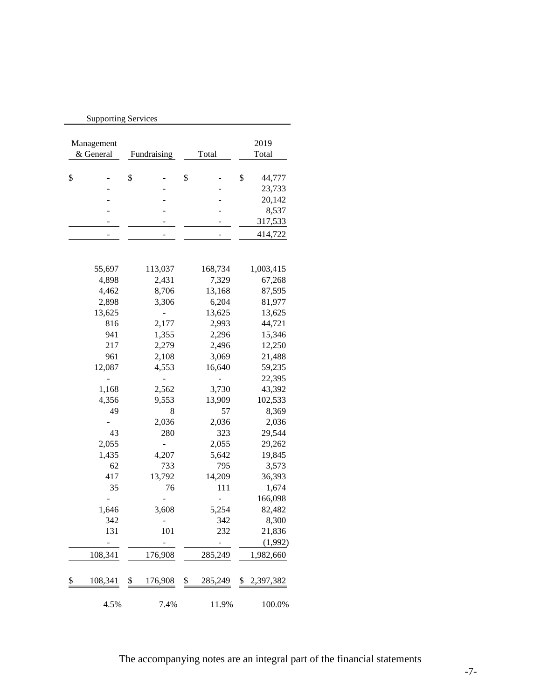| <b>Supporting Services</b> |                |               |               |
|----------------------------|----------------|---------------|---------------|
| Management<br>& General    | Fundraising    | Total         | 2019<br>Total |
| \$                         | \$             | \$            | \$<br>44,777  |
|                            |                |               | 23,733        |
|                            |                |               | 20,142        |
|                            |                |               | 8,537         |
|                            |                |               | 317,533       |
|                            |                |               |               |
|                            |                |               | 414,722       |
| 55,697                     | 113,037        | 168,734       | 1,003,415     |
| 4,898                      | 2,431          | 7,329         | 67,268        |
| 4,462                      | 8,706          | 13,168        | 87,595        |
| 2,898                      | 3,306          | 6,204         | 81,977        |
| 13,625                     |                | 13,625        | 13,625        |
| 816                        | 2,177          | 2,993         | 44,721        |
| 941                        | 1,355          | 2,296         | 15,346        |
| 217                        | 2,279          | 2,496         | 12,250        |
| 961                        | 2,108          | 3,069         | 21,488        |
| 12,087                     | 4,553          | 16,640        | 59,235        |
|                            |                |               | 22,395        |
| 1,168                      | 2,562          | 3,730         | 43,392        |
| 4,356                      | 9,553          | 13,909        | 102,533       |
| 49                         | 8              | 57            | 8,369         |
|                            | 2,036          | 2,036         | 2,036         |
| 43                         | 280            | 323           | 29,544        |
| 2,055                      | L,             | 2,055         | 29,262        |
| 1,435                      | 4,207          | 5,642         | 19,845        |
| 62                         | 733            | 795           | 3,573         |
| 417                        | 13,792         | 14,209        | 36,393        |
| 35                         | 76             | 111           | 1,674         |
|                            |                |               | 166,098       |
| 1,646                      | 3,608          | 5,254         | 82,482        |
| 342                        | -              | 342           | 8,300         |
| 131                        | 101            | 232           | 21,836        |
| $\overline{\phantom{0}}$   | $\overline{a}$ | -             | (1,992)       |
| 108,341                    | 176,908        | 285,249       | 1,982,660     |
| \$<br>108,341              | \$<br>176,908  | \$<br>285,249 | \$2,397,382   |
| 4.5%                       | 7.4%           | 11.9%         | 100.0%        |

# The accompanying notes are an integral part of the financial statements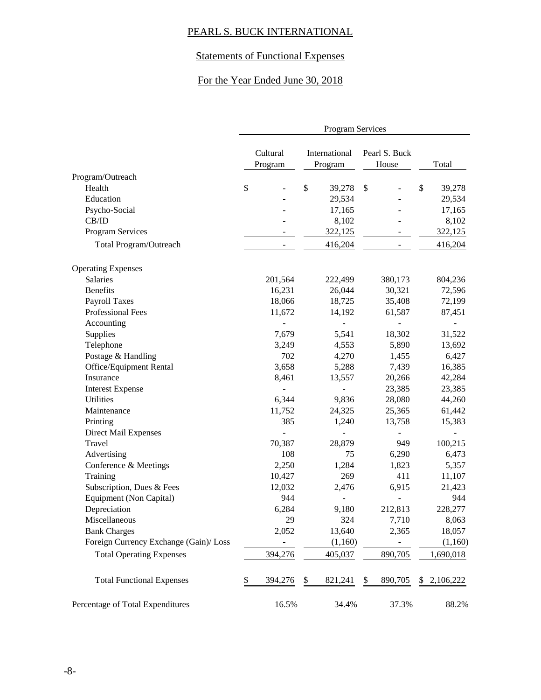# Statements of Functional Expenses

## For the Year Ended June 30, 2018

|                                        | Program Services |                     |    |                          |    |                        |    |           |
|----------------------------------------|------------------|---------------------|----|--------------------------|----|------------------------|----|-----------|
|                                        |                  | Cultural<br>Program |    | International<br>Program |    | Pearl S. Buck<br>House |    | Total     |
| Program/Outreach                       |                  |                     |    |                          |    |                        |    |           |
| Health                                 | \$               |                     | \$ | 39,278                   | \$ |                        | \$ | 39,278    |
| Education                              |                  |                     |    | 29,534                   |    |                        |    | 29,534    |
| Psycho-Social                          |                  |                     |    | 17,165                   |    |                        |    | 17,165    |
| CB/ID                                  |                  |                     |    | 8,102                    |    |                        |    | 8,102     |
| Program Services                       |                  |                     |    | 322,125                  |    |                        |    | 322,125   |
| <b>Total Program/Outreach</b>          |                  |                     |    | 416,204                  |    |                        |    | 416,204   |
| <b>Operating Expenses</b>              |                  |                     |    |                          |    |                        |    |           |
| Salaries                               |                  | 201,564             |    | 222,499                  |    | 380,173                |    | 804,236   |
| <b>Benefits</b>                        |                  | 16,231              |    | 26,044                   |    | 30,321                 |    | 72,596    |
| <b>Payroll Taxes</b>                   |                  | 18,066              |    | 18,725                   |    | 35,408                 |    | 72,199    |
| <b>Professional Fees</b>               |                  | 11,672              |    | 14,192                   |    | 61,587                 |    | 87,451    |
| Accounting                             |                  |                     |    |                          |    |                        |    |           |
| Supplies                               |                  | 7,679               |    | 5,541                    |    | 18,302                 |    | 31,522    |
| Telephone                              |                  | 3,249               |    | 4,553                    |    | 5,890                  |    | 13,692    |
| Postage & Handling                     |                  | 702                 |    | 4,270                    |    | 1,455                  |    | 6,427     |
| Office/Equipment Rental                |                  | 3,658               |    | 5,288                    |    | 7,439                  |    | 16,385    |
| Insurance                              |                  | 8,461               |    | 13,557                   |    | 20,266                 |    | 42,284    |
| <b>Interest Expense</b>                |                  |                     |    | ÷                        |    | 23,385                 |    | 23,385    |
| <b>Utilities</b>                       |                  | 6,344               |    | 9,836                    |    | 28,080                 |    | 44,260    |
| Maintenance                            |                  | 11,752              |    | 24,325                   |    | 25,365                 |    | 61,442    |
| Printing                               |                  | 385                 |    | 1,240                    |    | 13,758                 |    | 15,383    |
| <b>Direct Mail Expenses</b>            |                  |                     |    |                          |    |                        |    |           |
| Travel                                 |                  | 70,387              |    | 28,879                   |    | 949                    |    | 100,215   |
| Advertising                            |                  | 108                 |    | 75                       |    | 6,290                  |    | 6,473     |
| Conference & Meetings                  |                  | 2,250               |    | 1,284                    |    | 1,823                  |    | 5,357     |
| Training                               |                  | 10,427              |    | 269                      |    | 411                    |    | 11,107    |
| Subscription, Dues & Fees              |                  | 12,032              |    | 2,476                    |    | 6,915                  |    | 21,423    |
| Equipment (Non Capital)                |                  | 944                 |    |                          |    |                        |    | 944       |
| Depreciation                           |                  | 6,284               |    | 9,180                    |    | 212,813                |    | 228,277   |
| Miscellaneous                          |                  | 29                  |    | 324                      |    | 7,710                  |    | 8,063     |
| <b>Bank Charges</b>                    |                  | 2,052               |    | 13,640                   |    | 2,365                  |    | 18,057    |
| Foreign Currency Exchange (Gain)/ Loss |                  |                     |    | (1,160)                  |    |                        |    | (1,160)   |
| <b>Total Operating Expenses</b>        |                  | 394,276             |    | 405,037                  |    | 890,705                |    | 1,690,018 |
| <b>Total Functional Expenses</b>       | \$               | 394,276             | \$ | 821,241                  | \$ | 890,705                | \$ | 2,106,222 |
| Percentage of Total Expenditures       |                  | 16.5%               |    | 34.4%                    |    | 37.3%                  |    | 88.2%     |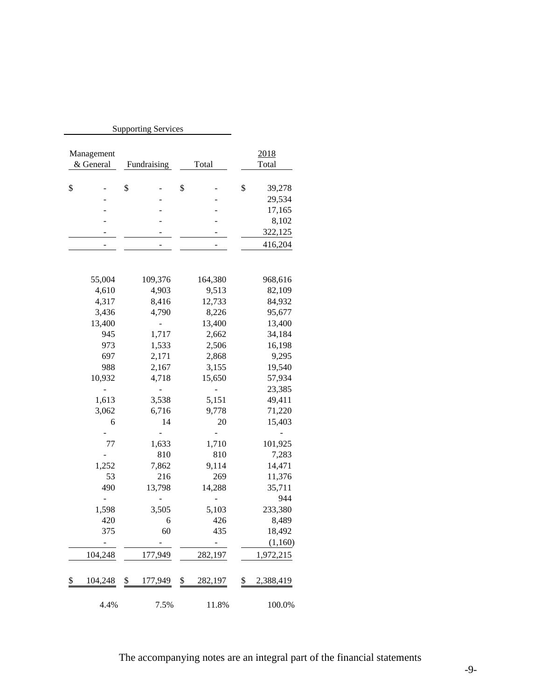| Management    |                      |    |         | 2018            |
|---------------|----------------------|----|---------|-----------------|
| & General     | Fundraising          |    | Total   | Total           |
|               |                      |    |         |                 |
| \$            | \$                   | \$ |         | \$<br>39,278    |
|               |                      |    |         | 29,534          |
|               |                      |    |         | 17,165          |
|               |                      |    |         | 8,102           |
|               |                      |    |         | 322,125         |
|               |                      |    |         | 416,204         |
|               |                      |    |         |                 |
| 55,004        | 109,376              |    | 164,380 |                 |
| 4,610         | 4,903                |    | 9,513   | 968,616         |
| 4,317         | 8,416                |    | 12,733  | 82,109          |
|               | 4,790                |    |         | 84,932          |
| 3,436         |                      |    | 8,226   | 95,677          |
| 13,400        |                      |    | 13,400  | 13,400          |
| 945           | 1,717                |    | 2,662   | 34,184          |
| 973           | 1,533                |    | 2,506   | 16,198          |
| 697           | 2,171                |    | 2,868   | 9,295           |
| 988           | 2,167                |    | 3,155   | 19,540          |
| 10,932        | 4,718                |    | 15,650  | 57,934          |
|               |                      |    |         | 23,385          |
| 1,613         | 3,538                |    | 5,151   | 49,411          |
| 3,062         | 6,716                |    | 9,778   | 71,220          |
| 6             | 14                   |    | 20      | 15,403          |
| 77            | 1,633                |    | 1,710   | 101,925         |
|               | 810                  |    | 810     | 7,283           |
| 1,252         | 7,862                |    | 9,114   | 14,471          |
| 53            | 216                  |    | 269     | 11,376          |
| 490           | 13,798               |    | 14,288  | 35,711          |
|               |                      |    |         | 944             |
| 1,598         | 3,505                |    | 5,103   | 233,380         |
| 420           | 6                    |    | 426     | 8,489           |
| 375           | 60                   |    | 435     | 18,492          |
|               |                      |    |         | (1,160)         |
| 104,248       | 177,949              |    | 282,197 | 1,972,215       |
|               |                      |    |         |                 |
| \$<br>104,248 | \$<br><u>177,949</u> | S  | 282,197 | \$<br>2,388,419 |
| 4.4%          | 7.5%                 |    | 11.8%   | 100.0%          |

## Supporting Services

## The accompanying notes are an integral part of the financial statements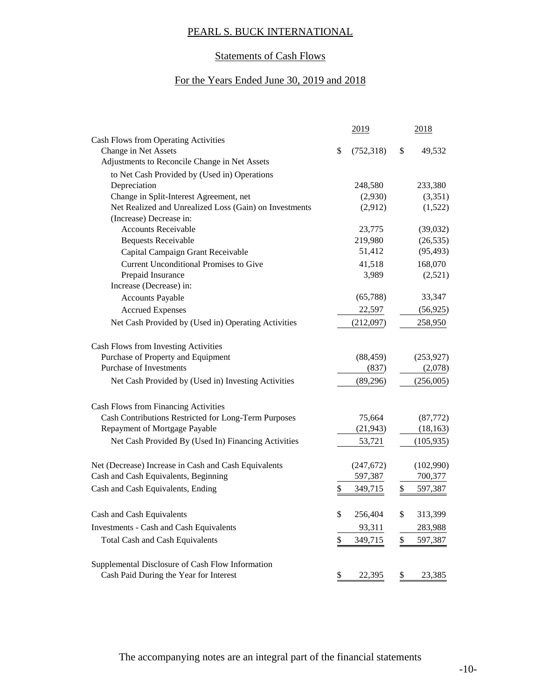## Statements of Cash Flows

## For the Years Ended June 30, 2019 and 2018

|                                                        | 2019             | 2018          |
|--------------------------------------------------------|------------------|---------------|
| Cash Flows from Operating Activities                   |                  |               |
| Change in Net Assets                                   | \$<br>(752, 318) | \$<br>49,532  |
| Adjustments to Reconcile Change in Net Assets          |                  |               |
| to Net Cash Provided by (Used in) Operations           |                  |               |
| Depreciation                                           | 248,580          | 233,380       |
| Change in Split-Interest Agreement, net                | (2,930)          | (3,351)       |
| Net Realized and Unrealized Loss (Gain) on Investments | (2,912)          | (1,522)       |
| (Increase) Decrease in:                                |                  |               |
| <b>Accounts Receivable</b>                             | 23,775           | (39,032)      |
| <b>Bequests Receivable</b>                             | 219,980          | (26, 535)     |
| Capital Campaign Grant Receivable                      | 51,412           | (95, 493)     |
| <b>Current Unconditional Promises to Give</b>          | 41,518           | 168,070       |
| Prepaid Insurance                                      | 3,989            | (2,521)       |
| Increase (Decrease) in:                                |                  |               |
| <b>Accounts Payable</b>                                | (65,788)         | 33,347        |
| <b>Accrued Expenses</b>                                | 22,597           | (56, 925)     |
| Net Cash Provided by (Used in) Operating Activities    | (212,097)        | 258,950       |
| Cash Flows from Investing Activities                   |                  |               |
| Purchase of Property and Equipment                     | (88, 459)        | (253, 927)    |
| <b>Purchase of Investments</b>                         | (837)            | (2,078)       |
| Net Cash Provided by (Used in) Investing Activities    | (89,296)         | (256,005)     |
| Cash Flows from Financing Activities                   |                  |               |
| Cash Contributions Restricted for Long-Term Purposes   | 75,664           | (87, 772)     |
| Repayment of Mortgage Payable                          | (21, 943)        | (18, 163)     |
| Net Cash Provided By (Used In) Financing Activities    | 53,721           | (105, 935)    |
| Net (Decrease) Increase in Cash and Cash Equivalents   | (247, 672)       | (102,990)     |
| Cash and Cash Equivalents, Beginning                   | 597,387          | 700,377       |
| Cash and Cash Equivalents, Ending                      | \$<br>349,715    | \$<br>597,387 |
| Cash and Cash Equivalents                              | \$<br>256,404    | \$<br>313,399 |
|                                                        |                  |               |
| <b>Investments - Cash and Cash Equivalents</b>         | 93,311           | 283,988       |
| <b>Total Cash and Cash Equivalents</b>                 | \$<br>349,715    | \$<br>597,387 |
| Supplemental Disclosure of Cash Flow Information       |                  |               |
| Cash Paid During the Year for Interest                 | \$<br>22,395     | \$<br>23,385  |

The accompanying notes are an integral part of the financial statements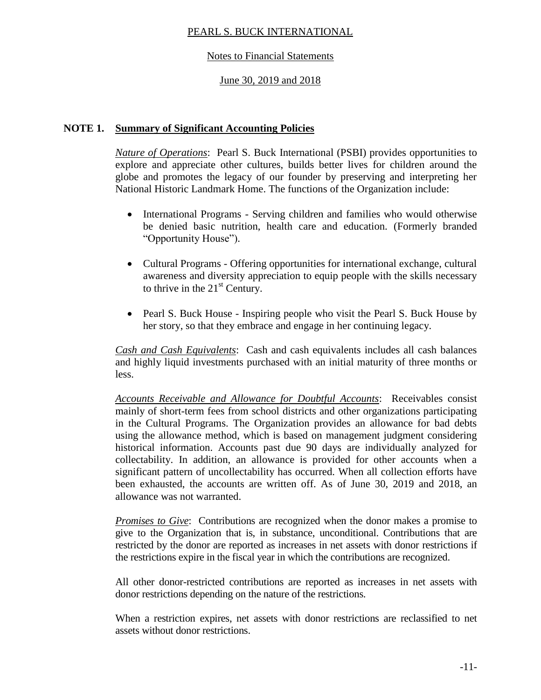## Notes to Financial Statements

## June 30, 2019 and 2018

## **NOTE 1. Summary of Significant Accounting Policies**

*Nature of Operations*:Pearl S. Buck International (PSBI) provides opportunities to explore and appreciate other cultures, builds better lives for children around the globe and promotes the legacy of our founder by preserving and interpreting her National Historic Landmark Home. The functions of the Organization include:

- International Programs Serving children and families who would otherwise be denied basic nutrition, health care and education. (Formerly branded "Opportunity House").
- Cultural Programs Offering opportunities for international exchange, cultural awareness and diversity appreciation to equip people with the skills necessary to thrive in the  $21<sup>st</sup>$  Century.
- Pearl S. Buck House Inspiring people who visit the Pearl S. Buck House by her story, so that they embrace and engage in her continuing legacy.

*Cash and Cash Equivalents*: Cash and cash equivalents includes all cash balances and highly liquid investments purchased with an initial maturity of three months or less.

*Accounts Receivable and Allowance for Doubtful Accounts*:Receivables consist mainly of short-term fees from school districts and other organizations participating in the Cultural Programs. The Organization provides an allowance for bad debts using the allowance method, which is based on management judgment considering historical information. Accounts past due 90 days are individually analyzed for collectability. In addition, an allowance is provided for other accounts when a significant pattern of uncollectability has occurred. When all collection efforts have been exhausted, the accounts are written off. As of June 30, 2019 and 2018, an allowance was not warranted.

*Promises to Give*: Contributions are recognized when the donor makes a promise to give to the Organization that is, in substance, unconditional. Contributions that are restricted by the donor are reported as increases in net assets with donor restrictions if the restrictions expire in the fiscal year in which the contributions are recognized.

All other donor-restricted contributions are reported as increases in net assets with donor restrictions depending on the nature of the restrictions.

When a restriction expires, net assets with donor restrictions are reclassified to net assets without donor restrictions.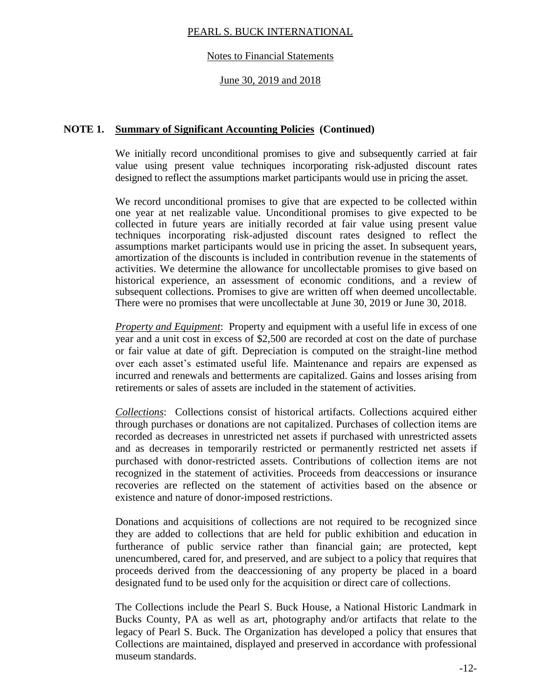## Notes to Financial Statements

## June 30, 2019 and 2018

## **NOTE 1. Summary of Significant Accounting Policies (Continued)**

We initially record unconditional promises to give and subsequently carried at fair value using present value techniques incorporating risk-adjusted discount rates designed to reflect the assumptions market participants would use in pricing the asset.

We record unconditional promises to give that are expected to be collected within one year at net realizable value. Unconditional promises to give expected to be collected in future years are initially recorded at fair value using present value techniques incorporating risk-adjusted discount rates designed to reflect the assumptions market participants would use in pricing the asset. In subsequent years, amortization of the discounts is included in contribution revenue in the statements of activities. We determine the allowance for uncollectable promises to give based on historical experience, an assessment of economic conditions, and a review of subsequent collections. Promises to give are written off when deemed uncollectable. There were no promises that were uncollectable at June 30, 2019 or June 30, 2018.

*Property and Equipment*: Property and equipment with a useful life in excess of one year and a unit cost in excess of \$2,500 are recorded at cost on the date of purchase or fair value at date of gift. Depreciation is computed on the straight-line method over each asset's estimated useful life. Maintenance and repairs are expensed as incurred and renewals and betterments are capitalized. Gains and losses arising from retirements or sales of assets are included in the statement of activities.

*Collections*: Collections consist of historical artifacts. Collections acquired either through purchases or donations are not capitalized. Purchases of collection items are recorded as decreases in unrestricted net assets if purchased with unrestricted assets and as decreases in temporarily restricted or permanently restricted net assets if purchased with donor-restricted assets. Contributions of collection items are not recognized in the statement of activities. Proceeds from deaccessions or insurance recoveries are reflected on the statement of activities based on the absence or existence and nature of donor-imposed restrictions.

Donations and acquisitions of collections are not required to be recognized since they are added to collections that are held for public exhibition and education in furtherance of public service rather than financial gain; are protected, kept unencumbered, cared for, and preserved, and are subject to a policy that requires that proceeds derived from the deaccessioning of any property be placed in a board designated fund to be used only for the acquisition or direct care of collections.

The Collections include the Pearl S. Buck House, a National Historic Landmark in Bucks County, PA as well as art, photography and/or artifacts that relate to the legacy of Pearl S. Buck. The Organization has developed a policy that ensures that Collections are maintained, displayed and preserved in accordance with professional museum standards.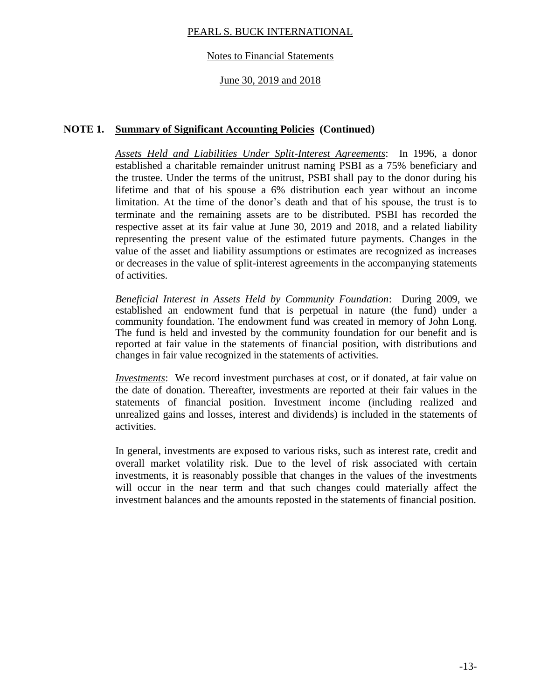## Notes to Financial Statements

## June 30, 2019 and 2018

## **NOTE 1. Summary of Significant Accounting Policies (Continued)**

*Assets Held and Liabilities Under Split-Interest Agreements*: In 1996, a donor established a charitable remainder unitrust naming PSBI as a 75% beneficiary and the trustee. Under the terms of the unitrust, PSBI shall pay to the donor during his lifetime and that of his spouse a 6% distribution each year without an income limitation. At the time of the donor's death and that of his spouse, the trust is to terminate and the remaining assets are to be distributed. PSBI has recorded the respective asset at its fair value at June 30, 2019 and 2018, and a related liability representing the present value of the estimated future payments. Changes in the value of the asset and liability assumptions or estimates are recognized as increases or decreases in the value of split-interest agreements in the accompanying statements of activities.

*Beneficial Interest in Assets Held by Community Foundation*: During 2009, we established an endowment fund that is perpetual in nature (the fund) under a community foundation. The endowment fund was created in memory of John Long. The fund is held and invested by the community foundation for our benefit and is reported at fair value in the statements of financial position, with distributions and changes in fair value recognized in the statements of activities.

*Investments*: We record investment purchases at cost, or if donated, at fair value on the date of donation. Thereafter, investments are reported at their fair values in the statements of financial position. Investment income (including realized and unrealized gains and losses, interest and dividends) is included in the statements of activities.

In general, investments are exposed to various risks, such as interest rate, credit and overall market volatility risk. Due to the level of risk associated with certain investments, it is reasonably possible that changes in the values of the investments will occur in the near term and that such changes could materially affect the investment balances and the amounts reposted in the statements of financial position.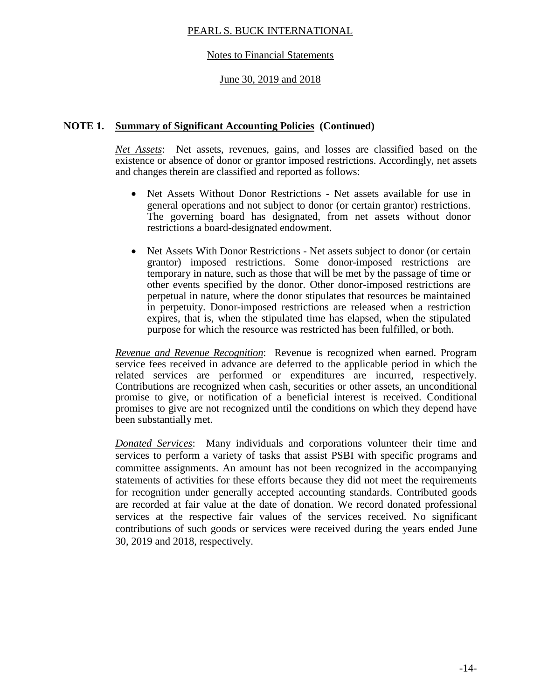## Notes to Financial Statements

## June 30, 2019 and 2018

## **NOTE 1. Summary of Significant Accounting Policies (Continued)**

*Net Assets*: Net assets, revenues, gains, and losses are classified based on the existence or absence of donor or grantor imposed restrictions. Accordingly, net assets and changes therein are classified and reported as follows:

- Net Assets Without Donor Restrictions Net assets available for use in general operations and not subject to donor (or certain grantor) restrictions. The governing board has designated, from net assets without donor restrictions a board-designated endowment.
- Net Assets With Donor Restrictions Net assets subject to donor (or certain grantor) imposed restrictions. Some donor-imposed restrictions are temporary in nature, such as those that will be met by the passage of time or other events specified by the donor. Other donor-imposed restrictions are perpetual in nature, where the donor stipulates that resources be maintained in perpetuity. Donor-imposed restrictions are released when a restriction expires, that is, when the stipulated time has elapsed, when the stipulated purpose for which the resource was restricted has been fulfilled, or both.

*Revenue and Revenue Recognition*: Revenue is recognized when earned. Program service fees received in advance are deferred to the applicable period in which the related services are performed or expenditures are incurred, respectively. Contributions are recognized when cash, securities or other assets, an unconditional promise to give, or notification of a beneficial interest is received. Conditional promises to give are not recognized until the conditions on which they depend have been substantially met.

*Donated Services*:Many individuals and corporations volunteer their time and services to perform a variety of tasks that assist PSBI with specific programs and committee assignments. An amount has not been recognized in the accompanying statements of activities for these efforts because they did not meet the requirements for recognition under generally accepted accounting standards. Contributed goods are recorded at fair value at the date of donation. We record donated professional services at the respective fair values of the services received. No significant contributions of such goods or services were received during the years ended June 30, 2019 and 2018, respectively.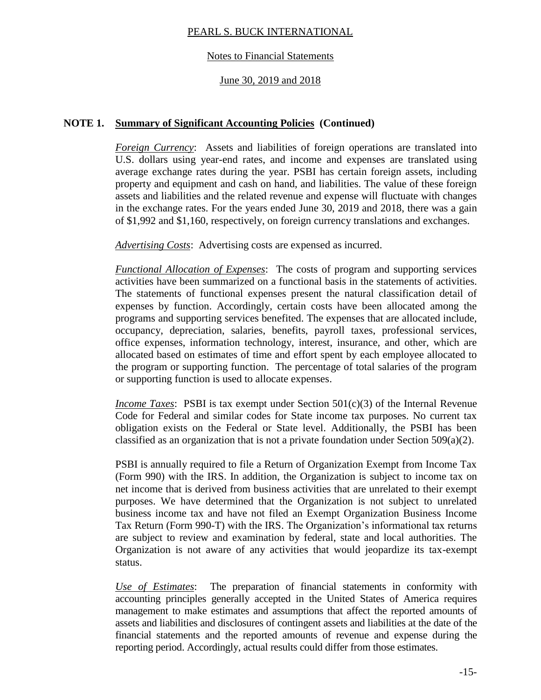## Notes to Financial Statements

## June 30, 2019 and 2018

## **NOTE 1. Summary of Significant Accounting Policies (Continued)**

*Foreign Currency:* Assets and liabilities of foreign operations are translated into U.S. dollars using year-end rates, and income and expenses are translated using average exchange rates during the year. PSBI has certain foreign assets, including property and equipment and cash on hand, and liabilities. The value of these foreign assets and liabilities and the related revenue and expense will fluctuate with changes in the exchange rates. For the years ended June 30, 2019 and 2018, there was a gain of \$1,992 and \$1,160, respectively, on foreign currency translations and exchanges.

*Advertising Costs*: Advertising costs are expensed as incurred.

*Functional Allocation of Expenses*:The costs of program and supporting services activities have been summarized on a functional basis in the statements of activities. The statements of functional expenses present the natural classification detail of expenses by function. Accordingly, certain costs have been allocated among the programs and supporting services benefited. The expenses that are allocated include, occupancy, depreciation, salaries, benefits, payroll taxes, professional services, office expenses, information technology, interest, insurance, and other, which are allocated based on estimates of time and effort spent by each employee allocated to the program or supporting function. The percentage of total salaries of the program or supporting function is used to allocate expenses.

*Income Taxes*: PSBI is tax exempt under Section 501(c)(3) of the Internal Revenue Code for Federal and similar codes for State income tax purposes. No current tax obligation exists on the Federal or State level. Additionally, the PSBI has been classified as an organization that is not a private foundation under Section 509(a)(2).

PSBI is annually required to file a Return of Organization Exempt from Income Tax (Form 990) with the IRS. In addition, the Organization is subject to income tax on net income that is derived from business activities that are unrelated to their exempt purposes. We have determined that the Organization is not subject to unrelated business income tax and have not filed an Exempt Organization Business Income Tax Return (Form 990-T) with the IRS. The Organization's informational tax returns are subject to review and examination by federal, state and local authorities. The Organization is not aware of any activities that would jeopardize its tax-exempt status.

*Use of Estimates*:The preparation of financial statements in conformity with accounting principles generally accepted in the United States of America requires management to make estimates and assumptions that affect the reported amounts of assets and liabilities and disclosures of contingent assets and liabilities at the date of the financial statements and the reported amounts of revenue and expense during the reporting period. Accordingly, actual results could differ from those estimates.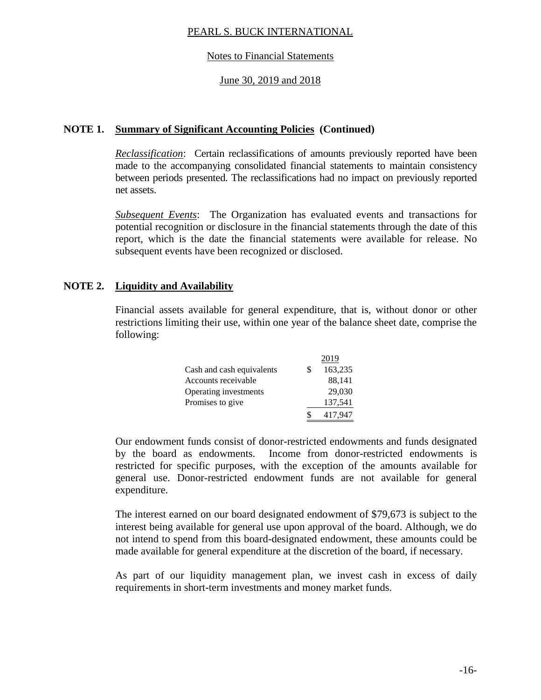## Notes to Financial Statements

## June 30, 2019 and 2018

## **NOTE 1. Summary of Significant Accounting Policies (Continued)**

*Reclassification*:Certain reclassifications of amounts previously reported have been made to the accompanying consolidated financial statements to maintain consistency between periods presented. The reclassifications had no impact on previously reported net assets.

*Subsequent Events*: The Organization has evaluated events and transactions for potential recognition or disclosure in the financial statements through the date of this report, which is the date the financial statements were available for release. No subsequent events have been recognized or disclosed.

## **NOTE 2. Liquidity and Availability**

Financial assets available for general expenditure, that is, without donor or other restrictions limiting their use, within one year of the balance sheet date, comprise the following:

|                           |   | 2019    |
|---------------------------|---|---------|
| Cash and cash equivalents | S | 163.235 |
| Accounts receivable       |   | 88.141  |
| Operating investments     |   | 29.030  |
| Promises to give          |   | 137,541 |
|                           |   | 417,947 |

Our endowment funds consist of donor-restricted endowments and funds designated by the board as endowments. Income from donor-restricted endowments is restricted for specific purposes, with the exception of the amounts available for general use. Donor-restricted endowment funds are not available for general expenditure.

The interest earned on our board designated endowment of \$79,673 is subject to the interest being available for general use upon approval of the board. Although, we do not intend to spend from this board-designated endowment, these amounts could be made available for general expenditure at the discretion of the board, if necessary.

As part of our liquidity management plan, we invest cash in excess of daily requirements in short-term investments and money market funds.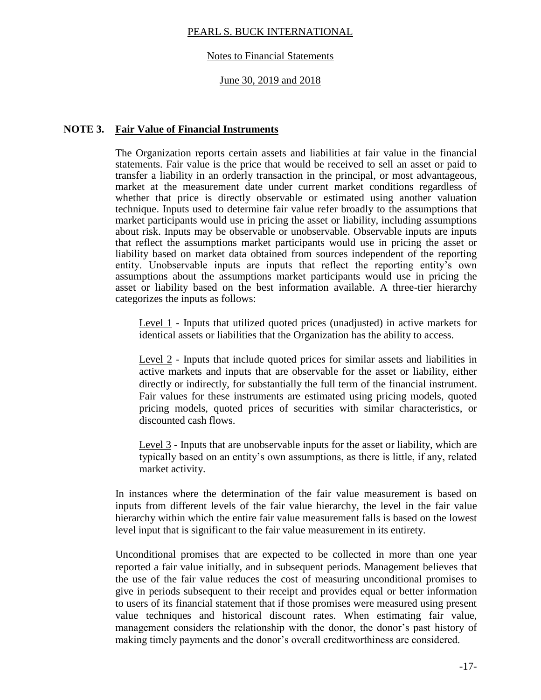#### Notes to Financial Statements

## June 30, 2019 and 2018

## **NOTE 3. Fair Value of Financial Instruments**

The Organization reports certain assets and liabilities at fair value in the financial statements. Fair value is the price that would be received to sell an asset or paid to transfer a liability in an orderly transaction in the principal, or most advantageous, market at the measurement date under current market conditions regardless of whether that price is directly observable or estimated using another valuation technique. Inputs used to determine fair value refer broadly to the assumptions that market participants would use in pricing the asset or liability, including assumptions about risk. Inputs may be observable or unobservable. Observable inputs are inputs that reflect the assumptions market participants would use in pricing the asset or liability based on market data obtained from sources independent of the reporting entity. Unobservable inputs are inputs that reflect the reporting entity's own assumptions about the assumptions market participants would use in pricing the asset or liability based on the best information available. A three-tier hierarchy categorizes the inputs as follows:

Level 1 - Inputs that utilized quoted prices (unadjusted) in active markets for identical assets or liabilities that the Organization has the ability to access.

Level 2 - Inputs that include quoted prices for similar assets and liabilities in active markets and inputs that are observable for the asset or liability, either directly or indirectly, for substantially the full term of the financial instrument. Fair values for these instruments are estimated using pricing models, quoted pricing models, quoted prices of securities with similar characteristics, or discounted cash flows.

Level 3 - Inputs that are unobservable inputs for the asset or liability, which are typically based on an entity's own assumptions, as there is little, if any, related market activity.

In instances where the determination of the fair value measurement is based on inputs from different levels of the fair value hierarchy, the level in the fair value hierarchy within which the entire fair value measurement falls is based on the lowest level input that is significant to the fair value measurement in its entirety.

Unconditional promises that are expected to be collected in more than one year reported a fair value initially, and in subsequent periods. Management believes that the use of the fair value reduces the cost of measuring unconditional promises to give in periods subsequent to their receipt and provides equal or better information to users of its financial statement that if those promises were measured using present value techniques and historical discount rates. When estimating fair value, management considers the relationship with the donor, the donor's past history of making timely payments and the donor's overall creditworthiness are considered.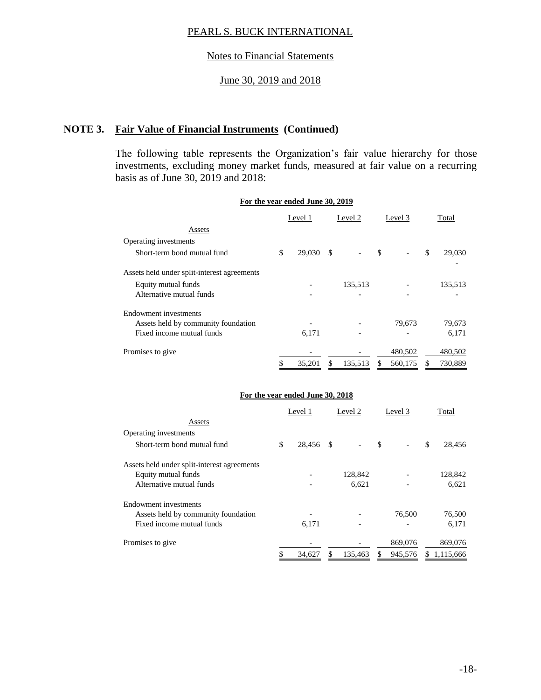#### Notes to Financial Statements

## June 30, 2019 and 2018

## **NOTE 3. Fair Value of Financial Instruments (Continued)**

The following table represents the Organization's fair value hierarchy for those investments, excluding money market funds, measured at fair value on a recurring basis as of June 30, 2019 and 2018:

|                                             | Level 1      |               | Level 2 | Level 3 |    | Total   |
|---------------------------------------------|--------------|---------------|---------|---------|----|---------|
| Assets                                      |              |               |         |         |    |         |
| Operating investments                       |              |               |         |         |    |         |
| Short-term bond mutual fund                 | \$<br>29,030 | <sup>\$</sup> |         | \$      | \$ | 29,030  |
| Assets held under split-interest agreements |              |               |         |         |    |         |
| Equity mutual funds                         |              |               | 135,513 |         |    | 135,513 |
| Alternative mutual funds                    |              |               |         |         |    |         |
| Endowment investments                       |              |               |         |         |    |         |
| Assets held by community foundation         |              |               |         | 79,673  |    | 79,673  |
| Fixed income mutual funds                   | 6,171        |               |         |         |    | 6,171   |
| Promises to give                            |              |               |         | 480,502 |    | 480,502 |
|                                             | 35,201       |               | 135,513 | 560,175 | S  | 730,889 |

#### **For the year ended June 30, 2019**

#### **For the year ended June 30, 2018**

|                                             | Level 1         | Level 2 | Level 3 |    | Total     |
|---------------------------------------------|-----------------|---------|---------|----|-----------|
| Assets                                      |                 |         |         |    |           |
| Operating investments                       |                 |         |         |    |           |
| Short-term bond mutual fund                 | \$<br>28,456 \$ |         | \$      | \$ | 28,456    |
| Assets held under split-interest agreements |                 |         |         |    |           |
| Equity mutual funds                         |                 | 128,842 |         |    | 128,842   |
| Alternative mutual funds                    |                 | 6,621   |         |    | 6,621     |
| Endowment investments                       |                 |         |         |    |           |
| Assets held by community foundation         |                 |         | 76,500  |    | 76,500    |
| Fixed income mutual funds                   | 6.171           |         |         |    | 6,171     |
| Promises to give                            |                 |         | 869,076 |    | 869,076   |
|                                             | \$<br>34,627    | 135,463 | 945,576 | S. | 1,115,666 |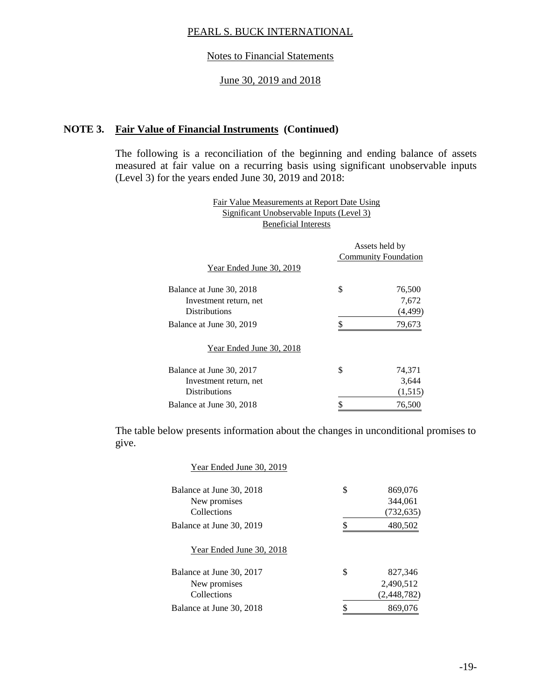## Notes to Financial Statements

## June 30, 2019 and 2018

## **NOTE 3. Fair Value of Financial Instruments (Continued)**

The following is a reconciliation of the beginning and ending balance of assets measured at fair value on a recurring basis using significant unobservable inputs (Level 3) for the years ended June 30, 2019 and 2018:

| Fair Value Measurements at Report Date Using<br>Significant Unobservable Inputs (Level 3)<br><b>Beneficial Interests</b> |                                               |
|--------------------------------------------------------------------------------------------------------------------------|-----------------------------------------------|
| Year Ended June 30, 2019                                                                                                 | Assets held by<br><b>Community Foundation</b> |
| Balance at June 30, 2018<br>Investment return, net<br><b>Distributions</b>                                               | \$<br>76,500<br>7,672<br>(4,499)              |
| Balance at June 30, 2019                                                                                                 | \$<br>79,673                                  |
| Year Ended June 30, 2018                                                                                                 |                                               |
| Balance at June 30, 2017<br>Investment return, net<br><b>Distributions</b>                                               | \$<br>74,371<br>3,644<br>(1,515)              |
| Balance at June 30, 2018                                                                                                 | \$<br>76,500                                  |

The table below presents information about the changes in unconditional promises to give.

| Year Ended June 30, 2019 |    |             |
|--------------------------|----|-------------|
| Balance at June 30, 2018 | \$ | 869,076     |
| New promises             |    | 344.061     |
| Collections              |    | (732, 635)  |
| Balance at June 30, 2019 |    | 480,502     |
| Year Ended June 30, 2018 |    |             |
| Balance at June 30, 2017 | S  | 827,346     |
| New promises             |    | 2,490,512   |
| Collections              |    | (2,448,782) |
| Balance at June 30, 2018 |    | 869,076     |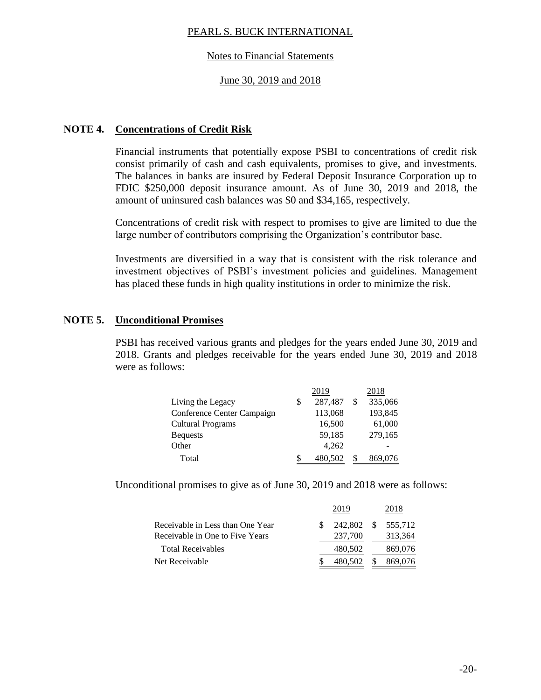#### Notes to Financial Statements

### June 30, 2019 and 2018

## **NOTE 4. Concentrations of Credit Risk**

Financial instruments that potentially expose PSBI to concentrations of credit risk consist primarily of cash and cash equivalents, promises to give, and investments. The balances in banks are insured by Federal Deposit Insurance Corporation up to FDIC \$250,000 deposit insurance amount. As of June 30, 2019 and 2018, the amount of uninsured cash balances was \$0 and \$34,165, respectively.

Concentrations of credit risk with respect to promises to give are limited to due the large number of contributors comprising the Organization's contributor base.

Investments are diversified in a way that is consistent with the risk tolerance and investment objectives of PSBI's investment policies and guidelines. Management has placed these funds in high quality institutions in order to minimize the risk.

## **NOTE 5. Unconditional Promises**

PSBI has received various grants and pledges for the years ended June 30, 2019 and 2018. Grants and pledges receivable for the years ended June 30, 2019 and 2018 were as follows:

|                            |    | 2019    |   | 2018    |
|----------------------------|----|---------|---|---------|
| Living the Legacy          | \$ | 287,487 | S | 335,066 |
| Conference Center Campaign |    | 113,068 |   | 193,845 |
| <b>Cultural Programs</b>   |    | 16,500  |   | 61,000  |
| <b>Bequests</b>            |    | 59,185  |   | 279,165 |
| Other                      |    | 4,262   |   |         |
| Total                      | S  | 480,502 |   | 869,076 |

Unconditional promises to give as of June 30, 2019 and 2018 were as follows:

| 2019    | 2018               |
|---------|--------------------|
|         |                    |
| 237,700 | 313,364            |
| 480,502 | 869,076            |
| 480.502 | 869,076            |
|         | 242,802 \$ 555,712 |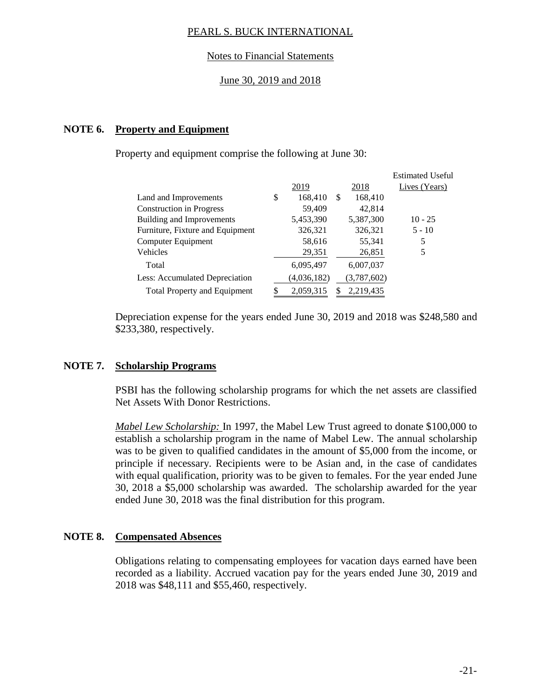## Notes to Financial Statements

## June 30, 2019 and 2018

## **NOTE 6. Property and Equipment**

Property and equipment comprise the following at June 30:

|                                     |   |             |   |             | <b>Estimated Useful</b> |
|-------------------------------------|---|-------------|---|-------------|-------------------------|
|                                     |   | 2019        |   | 2018        | Lives (Years)           |
| Land and Improvements               | S | 168,410     | S | 168,410     |                         |
| <b>Construction in Progress</b>     |   | 59,409      |   | 42,814      |                         |
| Building and Improvements           |   | 5,453,390   |   | 5,387,300   | $10 - 25$               |
| Furniture, Fixture and Equipment    |   | 326,321     |   | 326,321     | $5 - 10$                |
| Computer Equipment                  |   | 58,616      |   | 55,341      | 5                       |
| Vehicles                            |   | 29,351      |   | 26,851      | 5                       |
| Total                               |   | 6,095,497   |   | 6,007,037   |                         |
| Less: Accumulated Depreciation      |   | (4,036,182) |   | (3,787,602) |                         |
| <b>Total Property and Equipment</b> |   | 2.059.315   |   | 2,219,435   |                         |

Depreciation expense for the years ended June 30, 2019 and 2018 was \$248,580 and \$233,380, respectively.

## **NOTE 7. Scholarship Programs**

PSBI has the following scholarship programs for which the net assets are classified Net Assets With Donor Restrictions.

*Mabel Lew Scholarship:* In 1997, the Mabel Lew Trust agreed to donate \$100,000 to establish a scholarship program in the name of Mabel Lew. The annual scholarship was to be given to qualified candidates in the amount of \$5,000 from the income, or principle if necessary. Recipients were to be Asian and, in the case of candidates with equal qualification, priority was to be given to females. For the year ended June 30, 2018 a \$5,000 scholarship was awarded. The scholarship awarded for the year ended June 30, 2018 was the final distribution for this program.

## **NOTE 8. Compensated Absences**

Obligations relating to compensating employees for vacation days earned have been recorded as a liability. Accrued vacation pay for the years ended June 30, 2019 and 2018 was \$48,111 and \$55,460, respectively.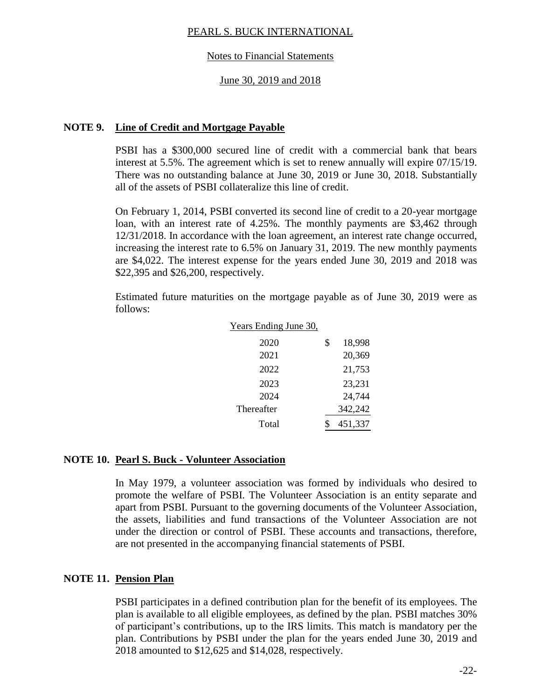#### Notes to Financial Statements

## June 30, 2019 and 2018

## **NOTE 9. Line of Credit and Mortgage Payable**

PSBI has a \$300,000 secured line of credit with a commercial bank that bears interest at 5.5%. The agreement which is set to renew annually will expire 07/15/19. There was no outstanding balance at June 30, 2019 or June 30, 2018. Substantially all of the assets of PSBI collateralize this line of credit.

On February 1, 2014, PSBI converted its second line of credit to a 20-year mortgage loan, with an interest rate of 4.25%. The monthly payments are \$3,462 through 12/31/2018. In accordance with the loan agreement, an interest rate change occurred, increasing the interest rate to 6.5% on January 31, 2019. The new monthly payments are \$4,022. The interest expense for the years ended June 30, 2019 and 2018 was \$22,395 and \$26,200, respectively.

Estimated future maturities on the mortgage payable as of June 30, 2019 were as follows:

| Years Ending June 30, |              |
|-----------------------|--------------|
| 2020                  | \$<br>18,998 |
| 2021                  | 20,369       |
| 2022                  | 21,753       |
| 2023                  | 23,231       |
| 2024                  | 24,744       |
| Thereafter            | 342,242      |
| Total                 | 451,337      |
|                       |              |

#### **NOTE 10. Pearl S. Buck - Volunteer Association**

In May 1979, a volunteer association was formed by individuals who desired to promote the welfare of PSBI. The Volunteer Association is an entity separate and apart from PSBI. Pursuant to the governing documents of the Volunteer Association, the assets, liabilities and fund transactions of the Volunteer Association are not under the direction or control of PSBI. These accounts and transactions, therefore, are not presented in the accompanying financial statements of PSBI.

#### **NOTE 11. Pension Plan**

PSBI participates in a defined contribution plan for the benefit of its employees. The plan is available to all eligible employees, as defined by the plan. PSBI matches 30% of participant's contributions, up to the IRS limits. This match is mandatory per the plan. Contributions by PSBI under the plan for the years ended June 30, 2019 and 2018 amounted to \$12,625 and \$14,028, respectively.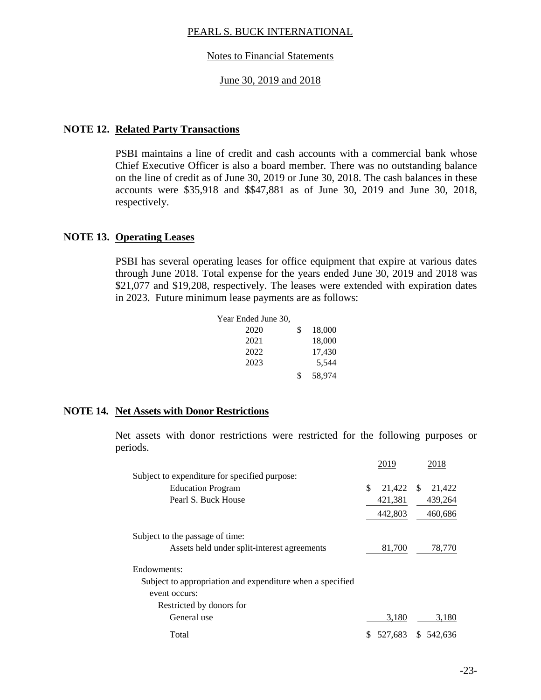#### Notes to Financial Statements

### June 30, 2019 and 2018

#### **NOTE 12. Related Party Transactions**

PSBI maintains a line of credit and cash accounts with a commercial bank whose Chief Executive Officer is also a board member. There was no outstanding balance on the line of credit as of June 30, 2019 or June 30, 2018. The cash balances in these accounts were \$35,918 and \$\$47,881 as of June 30, 2019 and June 30, 2018, respectively.

### **NOTE 13. Operating Leases**

PSBI has several operating leases for office equipment that expire at various dates through June 2018. Total expense for the years ended June 30, 2019 and 2018 was \$21,077 and \$19,208, respectively. The leases were extended with expiration dates in 2023. Future minimum lease payments are as follows:

| Year Ended June 30, |   |        |
|---------------------|---|--------|
| 2020                | S | 18,000 |
| 2021                |   | 18,000 |
| 2022                |   | 17,430 |
| 2023                |   | 5,544  |
|                     |   | 58,974 |

#### **NOTE 14. Net Assets with Donor Restrictions**

Net assets with donor restrictions were restricted for the following purposes or periods.

|                                                           | 2019         | 2018               |
|-----------------------------------------------------------|--------------|--------------------|
| Subject to expenditure for specified purpose:             |              |                    |
| <b>Education Program</b>                                  | \$<br>21,422 | 21,422<br><b>S</b> |
| Pearl S. Buck House                                       | 421,381      | 439,264            |
|                                                           | 442,803      | 460,686            |
| Subject to the passage of time:                           |              |                    |
| Assets held under split-interest agreements               | 81,700       | 78,770             |
| Endowments:                                               |              |                    |
| Subject to appropriation and expenditure when a specified |              |                    |
| event occurs:                                             |              |                    |
| Restricted by donors for                                  |              |                    |
| General use                                               | 3.180        | 3.180              |
| Total                                                     | 527.683      | 542.636<br>S       |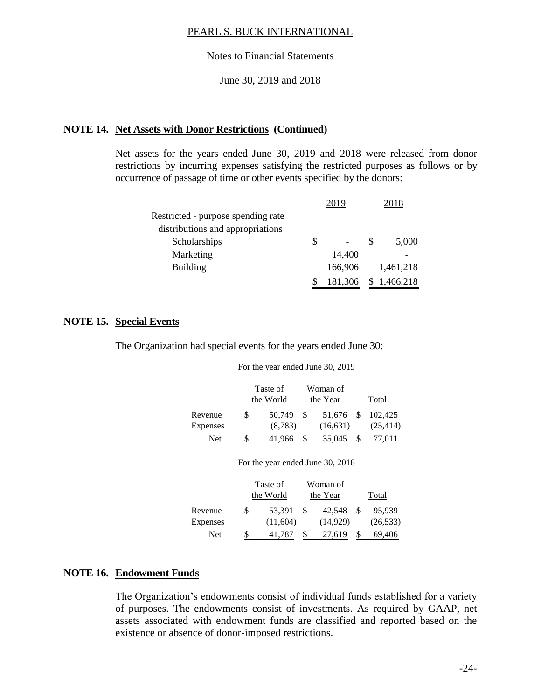#### Notes to Financial Statements

#### June 30, 2019 and 2018

#### **NOTE 14. Net Assets with Donor Restrictions (Continued)**

Net assets for the years ended June 30, 2019 and 2018 were released from donor restrictions by incurring expenses satisfying the restricted purposes as follows or by occurrence of passage of time or other events specified by the donors:

|                                    | 2019    | 2018        |
|------------------------------------|---------|-------------|
| Restricted - purpose spending rate |         |             |
| distributions and appropriations   |         |             |
| Scholarships                       | \$      | 5,000       |
| Marketing                          | 14,400  |             |
| <b>Building</b>                    | 166,906 | 1,461,218   |
|                                    | 181,306 | \$1,466,218 |

#### **NOTE 15. Special Events**

The Organization had special events for the years ended June 30:

#### For the year ended June 30, 2019

|            |   | Taste of  | Woman of     |          |  |                   |
|------------|---|-----------|--------------|----------|--|-------------------|
|            |   | the World |              | the Year |  | Total             |
| Revenue    | S | 50.749    | <sup>S</sup> |          |  | 51,676 \$ 102,425 |
| Expenses   |   | (8, 783)  |              | (16,631) |  | (25, 414)         |
| <b>Net</b> |   | 41,966    |              | 35,045   |  | 77.011            |

For the year ended June 30, 2018

|                 |           | Woman of<br>Taste of |    |          |  |           |
|-----------------|-----------|----------------------|----|----------|--|-----------|
|                 | the World |                      |    | the Year |  | Total     |
| Revenue         | S         | 53.391               | S. | 42.548   |  | 95.939    |
| <b>Expenses</b> |           | (11,604)             |    | (14,929) |  | (26, 533) |
| <b>Net</b>      |           | 41,787               |    | 27,619   |  | 69,406    |

## **NOTE 16. Endowment Funds**

The Organization's endowments consist of individual funds established for a variety of purposes. The endowments consist of investments. As required by GAAP, net assets associated with endowment funds are classified and reported based on the existence or absence of donor-imposed restrictions.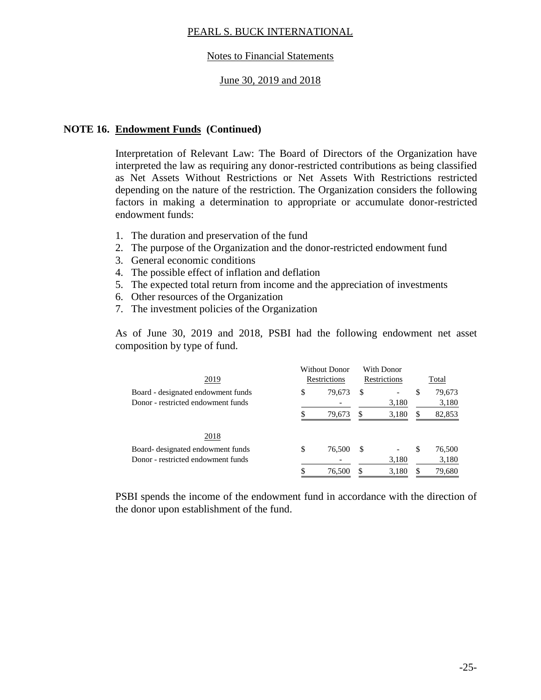#### Notes to Financial Statements

#### June 30, 2019 and 2018

### **NOTE 16. Endowment Funds (Continued)**

Interpretation of Relevant Law: The Board of Directors of the Organization have interpreted the law as requiring any donor-restricted contributions as being classified as Net Assets Without Restrictions or Net Assets With Restrictions restricted depending on the nature of the restriction. The Organization considers the following factors in making a determination to appropriate or accumulate donor-restricted endowment funds:

- 1. The duration and preservation of the fund
- 2. The purpose of the Organization and the donor-restricted endowment fund
- 3. General economic conditions
- 4. The possible effect of inflation and deflation
- 5. The expected total return from income and the appreciation of investments
- 6. Other resources of the Organization
- 7. The investment policies of the Organization

As of June 30, 2019 and 2018, PSBI had the following endowment net asset composition by type of fund.

|                                    | <b>Without Donor</b> |              | With Donor |                   |   |        |
|------------------------------------|----------------------|--------------|------------|-------------------|---|--------|
| 2019                               |                      | Restrictions |            | Restrictions      |   | Total  |
| Board - designated endowment funds | \$                   | 79,673       | S          | $\qquad \qquad -$ | S | 79,673 |
| Donor - restricted endowment funds |                      |              |            | 3,180             |   | 3,180  |
|                                    |                      | 79,673       | \$         | 3,180             | S | 82,853 |
| 2018                               |                      |              |            |                   |   |        |
| Board-designated endowment funds   | S                    | 76,500       | S          |                   | S | 76,500 |
| Donor - restricted endowment funds |                      |              |            | 3,180             |   | 3,180  |
|                                    |                      | 76,500       |            | 3,180             |   | 79,680 |

PSBI spends the income of the endowment fund in accordance with the direction of the donor upon establishment of the fund.